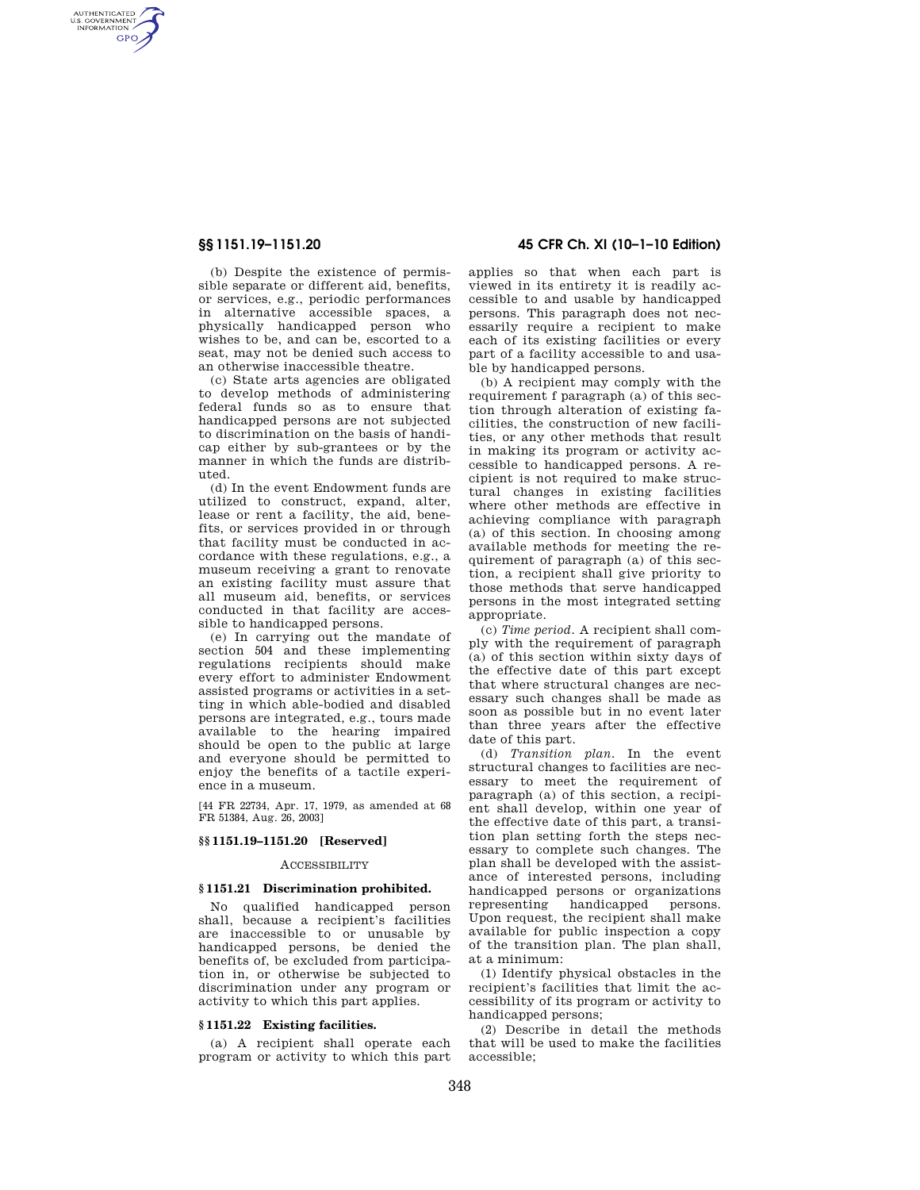AUTHENTICATED<br>U.S. GOVERNMENT<br>INFORMATION **GPO** 

> (b) Despite the existence of permissible separate or different aid, benefits, or services, e.g., periodic performances in alternative accessible spaces, a physically handicapped person who wishes to be, and can be, escorted to a seat, may not be denied such access to an otherwise inaccessible theatre.

> (c) State arts agencies are obligated to develop methods of administering federal funds so as to ensure that handicapped persons are not subjected to discrimination on the basis of handicap either by sub-grantees or by the manner in which the funds are distributed.

> (d) In the event Endowment funds are utilized to construct, expand, alter, lease or rent a facility, the aid, benefits, or services provided in or through that facility must be conducted in accordance with these regulations, e.g., a museum receiving a grant to renovate an existing facility must assure that all museum aid, benefits, or services conducted in that facility are accessible to handicapped persons.

> (e) In carrying out the mandate of section 504 and these implementing regulations recipients should make every effort to administer Endowment assisted programs or activities in a setting in which able-bodied and disabled persons are integrated, e.g., tours made available to the hearing impaired should be open to the public at large and everyone should be permitted to enjoy the benefits of a tactile experience in a museum.

[44 FR 22734, Apr. 17, 1979, as amended at 68 FR 51384, Aug. 26, 2003]

### **§§ 1151.19–1151.20 [Reserved]**

# ACCESSIBILITY

#### **§ 1151.21 Discrimination prohibited.**

No qualified handicapped person shall, because a recipient's facilities are inaccessible to or unusable by handicapped persons, be denied the benefits of, be excluded from participation in, or otherwise be subjected to discrimination under any program or activity to which this part applies.

### **§ 1151.22 Existing facilities.**

(a) A recipient shall operate each program or activity to which this part

# **§§ 1151.19–1151.20 45 CFR Ch. XI (10–1–10 Edition)**

applies so that when each part is viewed in its entirety it is readily accessible to and usable by handicapped persons. This paragraph does not necessarily require a recipient to make each of its existing facilities or every part of a facility accessible to and usable by handicapped persons.

(b) A recipient may comply with the requirement f paragraph (a) of this section through alteration of existing facilities, the construction of new facilities, or any other methods that result in making its program or activity accessible to handicapped persons. A recipient is not required to make structural changes in existing facilities where other methods are effective in achieving compliance with paragraph (a) of this section. In choosing among available methods for meeting the requirement of paragraph (a) of this section, a recipient shall give priority to those methods that serve handicapped persons in the most integrated setting appropriate.

(c) *Time period.* A recipient shall comply with the requirement of paragraph (a) of this section within sixty days of the effective date of this part except that where structural changes are necessary such changes shall be made as soon as possible but in no event later than three years after the effective date of this part.

(d) *Transition plan.* In the event structural changes to facilities are necessary to meet the requirement of paragraph (a) of this section, a recipient shall develop, within one year of the effective date of this part, a transition plan setting forth the steps necessary to complete such changes. The plan shall be developed with the assistance of interested persons, including handicapped persons or organizations representing handicapped persons. Upon request, the recipient shall make available for public inspection a copy of the transition plan. The plan shall, at a minimum:

(1) Identify physical obstacles in the recipient's facilities that limit the accessibility of its program or activity to handicapped persons;

(2) Describe in detail the methods that will be used to make the facilities accessible;